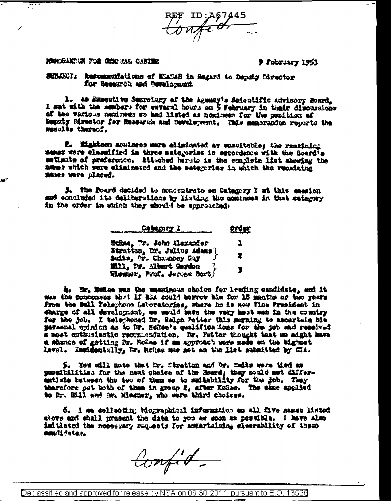REF ID: A67445

## MERGRANDUN FOR GENFRAL CANINE

**J** February 1953

SUBJECT: Recommendations of MEASAB in Regard to Deputy Director for Research and Development

L. As Executive Secretary of the Agency's Seientific advisory Board, I sat with the mombers for several hours on 5 February in their discussions of the various numinees wo had listed as nominees for the position of Beputy Mirector for Research and Development. This memorandum reports the results thereof.

2. Eighteen moninees were eliminated as unsultable; the remaining mames were elessified in three categories in agcordance with the Board<sup>i</sup>s matimate of preference. Attached herato is the complete list showing the mmems which were eliminated and the sategories in which the remaining SAMAS WOTE placed.

3. The Board depided to concentrate on Category I at this ession med eoncluded its deliberations by listing the nominees in that eategory in the order in which they should be approached:

|                                                              | 欲望 |
|--------------------------------------------------------------|----|
| HeRad <sub>e</sub> Tr. John Alexander                        | ı  |
| Stratton, Dr. Julius Admas)<br>Suits, tr. Chauncey Gay       | 2  |
| <b>Mil. Dr. Albert Gerden</b><br>Wiesner, Prof. Jerose Bert∫ | 1  |

4. Br. Monee was the smanimous choice for leafing emplointe, and it was the concensus that if MSA could torrow him for 15 mentus or two years from the Ball Telephone Latoratories, where he is now Tics President in sharge of all developemt, we would have the very best man in the country for the job. I telephoned Dr. Ralph Potter this merning to ascertain his paraenal opinion as to Dr. Hohae's qualifications for the job and resaived a most enthusiastic recommendation. Dr. Petter thought that we might have a ehanco of getting Dr. Ro2ae if am approach were made en the highest level. Incidentally, Mr. Rohae was not on the list manuitted by CIA.

S. Tou will mote that Dr. Strutton and Dr. Swits were tied as possibilities for the next choice of the Board; they could not differmatiate between the two of them as to suitability for the job. They tharsfore put both of them in group 2, after Kokee. The same applied to Dr. Hill and Mr. Wiesmar, who sare third choices.

6. I am collecting biographical information on all five names listed above and shall present the data to you as soon as possible. I have also imitiated the necessary raquests for astertaining elemenbility of these ###JJJates.

Compit-